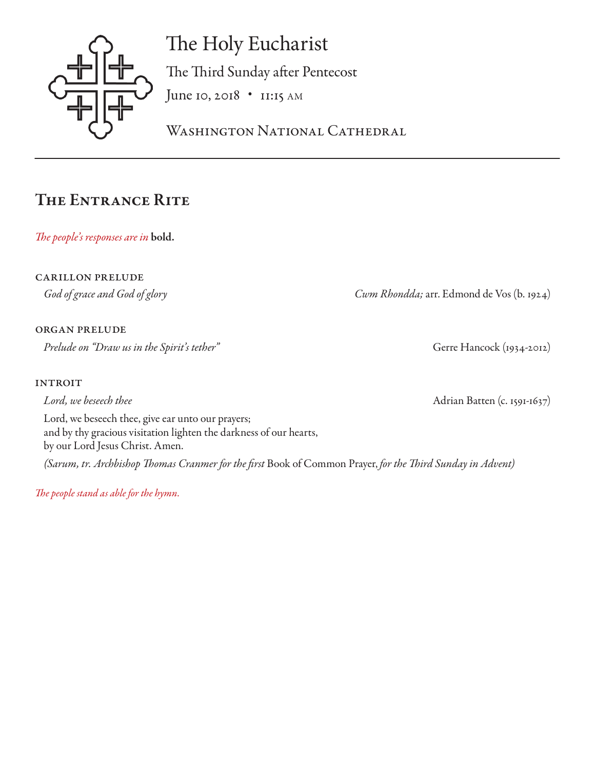

The Holy Eucharist

The Third Sunday after Pentecost

June 10, 2018 • 11:15 AM

WASHINGTON NATIONAL CATHEDRAL

# The Entrance Rite

*The people's responses are in* bold.

# carillon prelude

*God of grace and God of glory Cwm Rhondda;* arr. Edmond de Vos (b. 1924)

organ prelude

*Prelude on "Draw us in the Spirit's tether"* Gerre Hancock (1934-2012)

# **INTROIT**

*Lord, we beseech thee* Adrian Batten (c. 1591-1637)

Lord, we beseech thee, give ear unto our prayers; and by thy gracious visitation lighten the darkness of our hearts, by our Lord Jesus Christ. Amen.

*(Sarum, tr. Archbishop Thomas Cranmer for the first* Book of Common Prayer, *for the Third Sunday in Advent)*

*The people stand as able for the hymn.*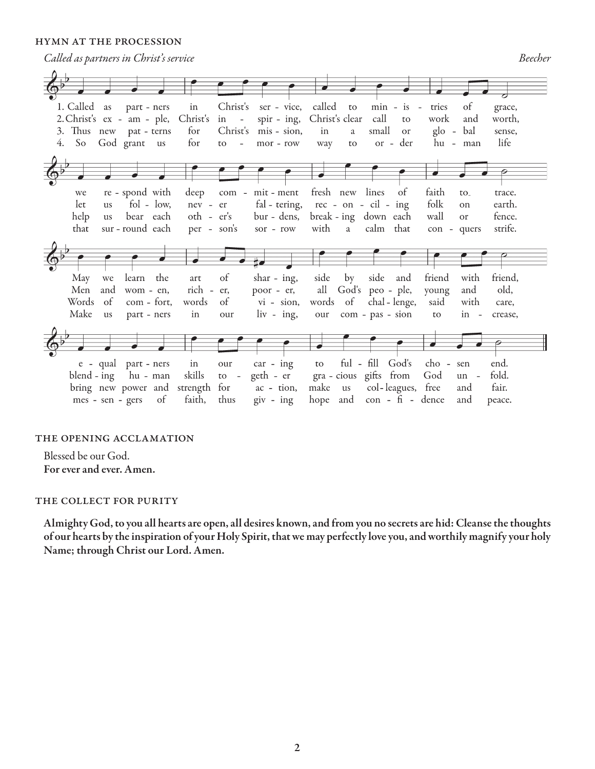hymn at the procession

*Called as partners in Christ's service Beecher* 

|    | 1. Called | as        | part - ners                      |     | in                   | Christ's     | ser - vice,          | called         | to           | $min - is$<br>$\sim$          | tries     | of          | grace,  |  |
|----|-----------|-----------|----------------------------------|-----|----------------------|--------------|----------------------|----------------|--------------|-------------------------------|-----------|-------------|---------|--|
|    |           |           | 2. Christ's ex - am - ple,       |     | Christ's             | $in -$       | $spir - ing$ ,       | Christ's clear |              | call<br>to                    | work      | and         | worth,  |  |
|    |           |           | 3. Thus new pat - terns          |     | for                  |              | Christ's mis - sion, | in             | a            | small<br>or                   | $g$ lo -  | bal         | sense,  |  |
| 4. | So        |           | God grant                        | us  | for                  | to<br>$\sim$ | mor - row            | way            | to           | or - der                      |           | hu - man    | life    |  |
|    |           |           |                                  |     |                      |              |                      |                |              |                               |           |             |         |  |
|    |           |           |                                  |     |                      |              |                      |                |              |                               |           |             |         |  |
|    |           |           |                                  |     |                      |              |                      |                |              |                               |           |             |         |  |
|    | we        |           | re - spond with                  |     | deep                 |              | com - mit - ment     | fresh new      |              | of<br>lines                   | faith     | to.         | trace.  |  |
|    | let       | us        | fol - $low$ ,                    |     | nev - er             |              | fal - tering,        |                |              | $\text{rec}$ - on - cil - ing | folk      | on          | earth.  |  |
|    | help      | <b>us</b> | bear each                        |     | $\sigma$ th - $er's$ |              | bur - dens,          |                |              | break - ing down each         | wall      | or          | fence.  |  |
|    | that      |           | sur-round each                   |     | per - son's          |              | $sor - row$          | with           | a a          | calm that                     |           | con - quers | strife. |  |
|    |           |           |                                  |     |                      |              |                      |                |              |                               |           |             |         |  |
|    |           |           |                                  |     |                      |              |                      |                |              |                               |           |             |         |  |
|    |           |           |                                  |     |                      |              |                      |                |              |                               |           |             |         |  |
|    |           |           |                                  |     |                      |              |                      |                |              |                               |           |             |         |  |
|    |           |           |                                  |     |                      |              |                      |                |              |                               |           |             |         |  |
|    | May       | we        | learn                            | the | art                  | $\sigma$     | $\text{shar}$ - ing, | side           | by           | side<br>and                   | friend    | with        | friend, |  |
|    | Men       | and       | wom - en,                        |     | $rich - er,$         |              | poor - er,           |                |              | all God's peo - ple,          | young     | and         | old,    |  |
|    | Words     | of        | com - fort,                      |     | words                | of           | vi - sion,           | words of       |              | chal - lenge,                 | said      | with        | care,   |  |
|    | Make      | <b>us</b> | part - ners                      |     | in                   | our          | $\ln y - \ln g$ ,    | our            |              | $com - pas - sion$            | to        | $in -$      | crease, |  |
|    |           |           |                                  |     |                      |              |                      |                |              |                               |           |             |         |  |
|    |           |           |                                  |     |                      |              |                      |                |              |                               |           |             |         |  |
|    |           |           |                                  |     |                      |              |                      |                |              |                               |           |             |         |  |
|    |           |           | e - qual part - ners             |     | in                   | our          | $car - ing$          | to             | $ful - fill$ | God's                         | cho - sen |             | end.    |  |
|    |           |           | blend - ing hu - man             |     | skills               | to -         | geth - er            |                |              | gra - cious gifts from        | God       | $un -$      | fold.   |  |
|    |           |           | bring new power and strength for |     |                      |              | ac - tion,           | make us        |              | col-leagues, free             |           | and         | fair.   |  |

#### the opening acclamation

Blessed be our God. For ever and ever. Amen.

#### THE COLLECT FOR PURITY

Almighty God, to you all hearts are open, all desires known, and from you no secrets are hid: Cleanse the thoughts of our hearts by the inspiration of your Holy Spirit, that we may perfectly love you, and worthily magnify your holy Name; through Christ our Lord. Amen.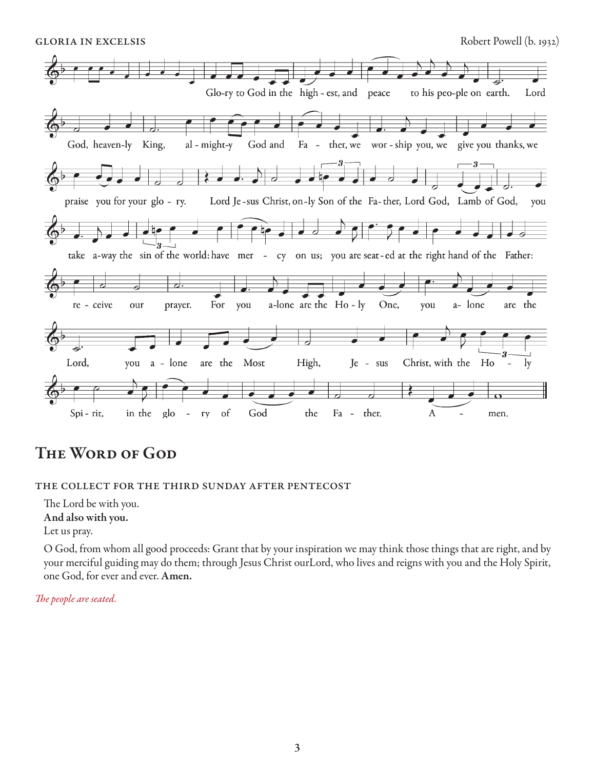gloria in excelsis Robert Powell (b. 1932) Glo-ry to God in the high - est, and to his peo-ple on earth. peace Lord Fa - ther, we wor-ship you, we give you thanks, we God, heaven-ly King, al - might-y God and  $\overline{\phantom{a}}$ praise you for your glo - ry. Lord Je-sus Christ, on-ly Son of the Fa-ther, Lord God, Lamb of God, you take a-way the sin of the world: have mer cy on us; you are seat-ed at the right hand of the Father:  $\sim$  $\overline{\sigma}$ a-lone are the Ho-ly For One, a-lone are the re - ceive our prayer. you you J Lord, are the Most High, Christ, with the Ho  $\mathbf{I}$ <sub>y</sub> you a - lone Je - sus  $\overline{a}$ God  $Fa$ glo of the ther.  $\mathbf{A}$ Spi - rit, in the  $\sim$ ry men.

# THE WORD OF GOD

# the collect for the third sunday after pentecost

The Lord be with you. And also with you. Let us pray.

O God, from whom all good proceeds: Grant that by your inspiration we may think those things that are right, and by your merciful guiding may do them; through Jesus Christ ourLord, who lives and reigns with you and the Holy Spirit, one God, for ever and ever. Amen.

*The people are seated.*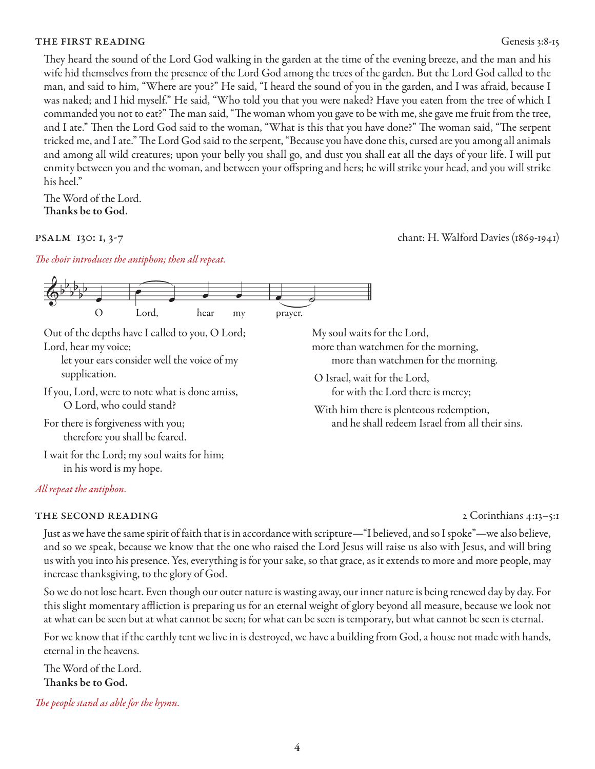#### THE FIRST READING Genesis 3:8-15

They heard the sound of the Lord God walking in the garden at the time of the evening breeze, and the man and his wife hid themselves from the presence of the Lord God among the trees of the garden. But the Lord God called to the man, and said to him, "Where are you?" He said, "I heard the sound of you in the garden, and I was afraid, because I was naked; and I hid myself." He said, "Who told you that you were naked? Have you eaten from the tree of which I commanded you not to eat?" The man said, "The woman whom you gave to be with me, she gave me fruit from the tree, and I ate." Then the Lord God said to the woman, "What is this that you have done?" The woman said, "The serpent tricked me, and I ate." The Lord God said to the serpent, "Because you have done this, cursed are you among all animals and among all wild creatures; upon your belly you shall go, and dust you shall eat all the days of your life. I will put enmity between you and the woman, and between your offspring and hers; he will strike your head, and you will strike his heel."

The Word of the Lord. Thanks be to God.

# psalm 130: 1, 3-7 chant: H. Walford Davies (1869-1941)

*The choir introduces the antiphon; then all repeat.*



Out of the depths have I called to you, O Lord; Lord, hear my voice;

let your ears consider well the voice of my supplication.

- If you, Lord, were to note what is done amiss, O Lord, who could stand?
- For there is forgiveness with you; therefore you shall be feared.
- I wait for the Lord; my soul waits for him; in his word is my hope.

# *All repeat the antiphon.*

# THE SECOND READING 2 Corinthians 4:13–5:1

Just as we have the same spirit of faith that is in accordance with scripture—"I believed, and so I spoke"—we also believe, and so we speak, because we know that the one who raised the Lord Jesus will raise us also with Jesus, and will bring us with you into his presence. Yes, everything is for your sake, so that grace, as it extends to more and more people, may increase thanksgiving, to the glory of God.

more than watchmen for the morning,

 for with the Lord there is mercy; With him there is plenteous redemption,

O Israel, wait for the Lord,

more than watchmen for the morning.

and he shall redeem Israel from all their sins.

So we do not lose heart. Even though our outer nature is wasting away, our inner nature is being renewed day by day. For this slight momentary affliction is preparing us for an eternal weight of glory beyond all measure, because we look not at what can be seen but at what cannot be seen; for what can be seen is temporary, but what cannot be seen is eternal.

For we know that if the earthly tent we live in is destroyed, we have a building from God, a house not made with hands, eternal in the heavens.

The Word of the Lord. Thanks be to God.

*The people stand as able for the hymn.*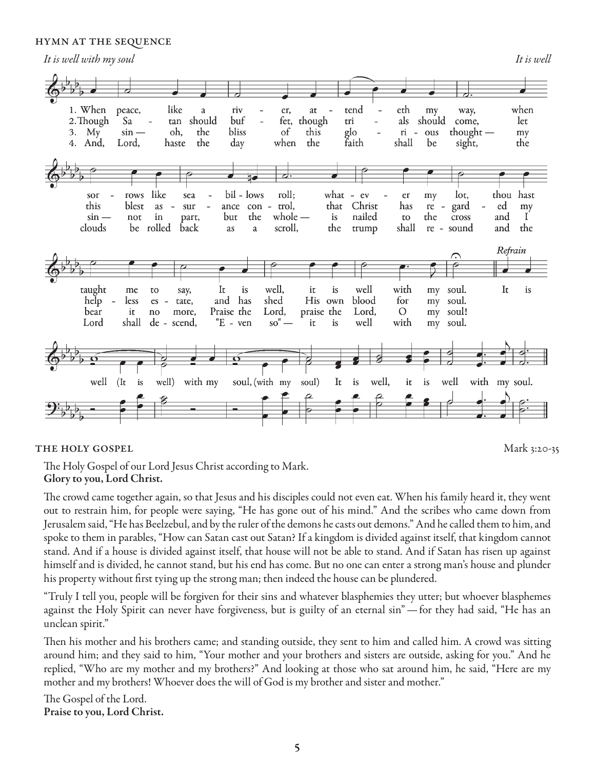#### hymn at the sequence

*It is well with my soul It is well* 



## THE HOLY GOSPEL Mark 3:20-35

The Holy Gospel of our Lord Jesus Christ according to Mark. Glory to you, Lord Christ.

The crowd came together again, so that Jesus and his disciples could not even eat. When his family heard it, they went out to restrain him, for people were saying, "He has gone out of his mind." And the scribes who came down from Jerusalem said, "He has Beelzebul, and by the ruler of the demons he casts out demons." And he called them to him, and spoke to them in parables, "How can Satan cast out Satan? If a kingdom is divided against itself, that kingdom cannot stand. And if a house is divided against itself, that house will not be able to stand. And if Satan has risen up against himself and is divided, he cannot stand, but his end has come. But no one can enter a strong man's house and plunder his property without first tying up the strong man; then indeed the house can be plundered.

"Truly I tell you, people will be forgiven for their sins and whatever blasphemies they utter; but whoever blasphemes against the Holy Spirit can never have forgiveness, but is guilty of an eternal sin"—for they had said, "He has an unclean spirit."

Then his mother and his brothers came; and standing outside, they sent to him and called him. A crowd was sitting around him; and they said to him, "Your mother and your brothers and sisters are outside, asking for you." And he replied, "Who are my mother and my brothers?" And looking at those who sat around him, he said, "Here are my mother and my brothers! Whoever does the will of God is my brother and sister and mother."

The Gospel of the Lord. Praise to you, Lord Christ.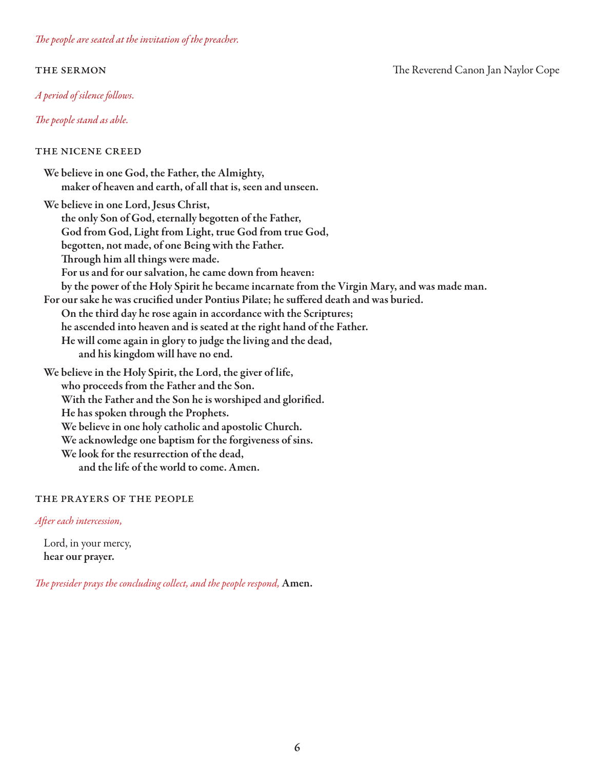*The people are seated at the invitation of the preacher.* 

*A period of silence follows.* 

*The people stand as able.*

#### the nicene creed

We believe in one God, the Father, the Almighty, maker of heaven and earth, of all that is, seen and unseen.

We believe in one Lord, Jesus Christ, the only Son of God, eternally begotten of the Father, God from God, Light from Light, true God from true God, begotten, not made, of one Being with the Father. Through him all things were made. For us and for our salvation, he came down from heaven: by the power of the Holy Spirit he became incarnate from the Virgin Mary, and was made man. For our sake he was crucified under Pontius Pilate; he suffered death and was buried. On the third day he rose again in accordance with the Scriptures; he ascended into heaven and is seated at the right hand of the Father. He will come again in glory to judge the living and the dead, and his kingdom will have no end. We believe in the Holy Spirit, the Lord, the giver of life, who proceeds from the Father and the Son. With the Father and the Son he is worshiped and glorified. He has spoken through the Prophets. We believe in one holy catholic and apostolic Church. We acknowledge one baptism for the forgiveness of sins. We look for the resurrection of the dead, and the life of the world to come. Amen.

#### the prayers of the people

*After each intercession,*

Lord, in your mercy, hear our prayer.

*The presider prays the concluding collect, and the people respond,* Amen.

THE SERMON THE SERMON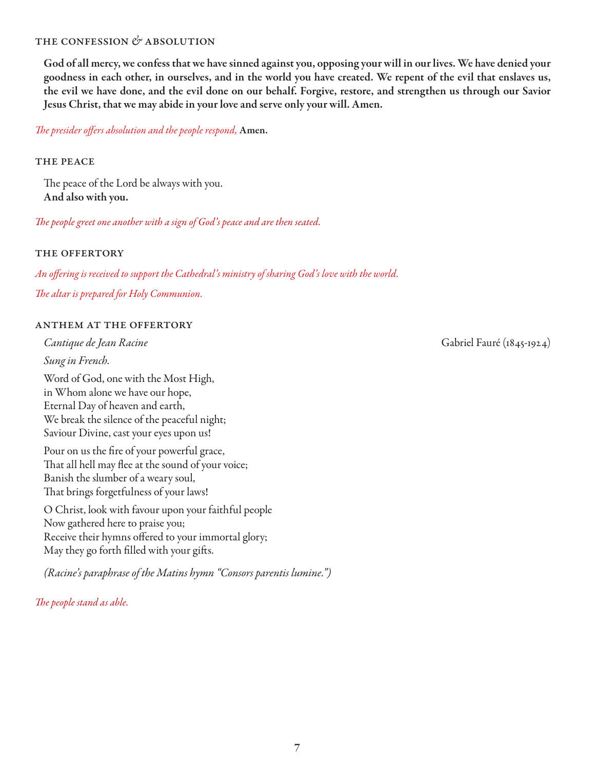# the confession *&* absolution

God of all mercy, we confess that we have sinned against you, opposing your will in our lives. We have denied your goodness in each other, in ourselves, and in the world you have created. We repent of the evil that enslaves us, the evil we have done, and the evil done on our behalf. Forgive, restore, and strengthen us through our Savior Jesus Christ, that we may abide in your love and serve only your will. Amen.

*The presider offers absolution and the people respond,* Amen.

# THE PEACE

The peace of the Lord be always with you. And also with you.

*The people greet one another with a sign of God's peace and are then seated.*

# the offertory

*An offering is received to support the Cathedral's ministry of sharing God's love with the world. The altar is prepared for Holy Communion.*

# anthem at the offertory

*Cantique de Jean Racine* Gabriel Fauré (1845-1924) *Sung in French.* Word of God, one with the Most High, in Whom alone we have our hope, Eternal Day of heaven and earth, We break the silence of the peaceful night; Saviour Divine, cast your eyes upon us!

Pour on us the fire of your powerful grace, That all hell may flee at the sound of your voice; Banish the slumber of a weary soul, That brings forgetfulness of your laws!

O Christ, look with favour upon your faithful people Now gathered here to praise you; Receive their hymns offered to your immortal glory; May they go forth filled with your gifts.

*(Racine's paraphrase of the Matins hymn "Consors parentis lumine.")*

*The people stand as able.*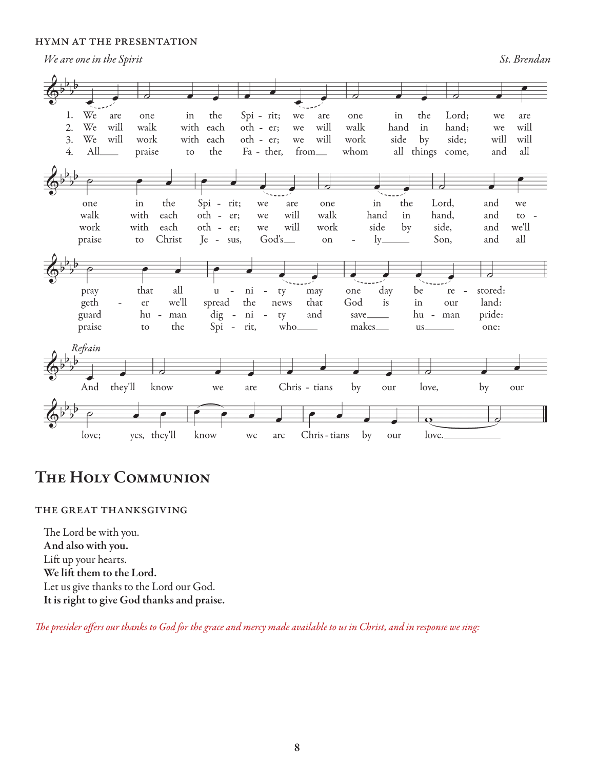#### hymn at the presentation

*We are one in the Spirit St. Brendan*



# The Holy Communion

# the great thanksgiving

The Lord be with you. And also with you. Lift up your hearts. We lift them to the Lord. Let us give thanks to the Lord our God. It is right to give God thanks and praise.

*The presider offers our thanks to God for the grace and mercy made available to us in Christ, and in response we sing:*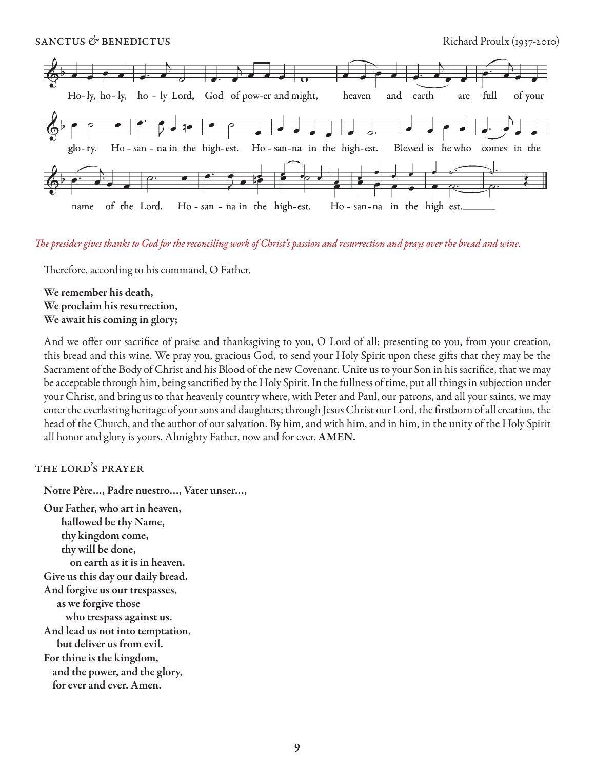

*The presider gives thanks to God for the reconciling work of Christ's passion and resurrection and prays over the bread and wine.*

Therefore, according to his command, O Father,

We remember his death, We proclaim his resurrection, We await his coming in glory;

And we offer our sacrifice of praise and thanksgiving to you, O Lord of all; presenting to you, from your creation, this bread and this wine. We pray you, gracious God, to send your Holy Spirit upon these gifts that they may be the Sacrament of the Body of Christ and his Blood of the new Covenant. Unite us to your Son in his sacrifice, that we may be acceptable through him, being sanctified by the Holy Spirit. In the fullness of time, put all things in subjection under your Christ, and bring us to that heavenly country where, with Peter and Paul, our patrons, and all your saints, we may enter the everlasting heritage of your sons and daughters; through Jesus Christ our Lord, the firstborn of all creation, the head of the Church, and the author of our salvation. By him, and with him, and in him, in the unity of the Holy Spirit all honor and glory is yours, Almighty Father, now and for ever. AMEN.

# the lord's prayer

Notre Père…, Padre nuestro…, Vater unser…,

Our Father, who art in heaven, hallowed be thy Name, thy kingdom come, thy will be done, on earth as it is in heaven. Give us this day our daily bread. And forgive us our trespasses, as we forgive those who trespass against us. And lead us not into temptation, but deliver us from evil. For thine is the kingdom, and the power, and the glory, for ever and ever. Amen.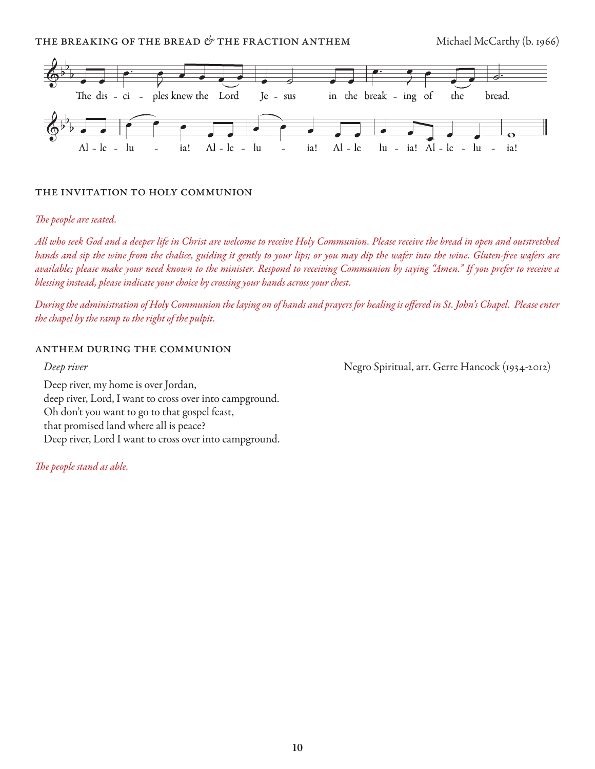

# the invitation to holy communion

# *The people are seated.*

*All who seek God and a deeper life in Christ are welcome to receive Holy Communion. Please receive the bread in open and outstretched hands and sip the wine from the chalice, guiding it gently to your lips; or you may dip the wafer into the wine. Gluten-free wafers are available; please make your need known to the minister. Respond to receiving Communion by saying "Amen." If you prefer to receive a blessing instead, please indicate your choice by crossing your hands across your chest.* 

*During the administration of Holy Communion the laying on of hands and prayers for healing is offered in St. John's Chapel. Please enter the chapel by the ramp to the right of the pulpit.*

#### anthem during the communion

*Deep river* Negro Spiritual, arr. Gerre Hancock (1934-2012)

Deep river, my home is over Jordan, deep river, Lord, I want to cross over into campground. Oh don't you want to go to that gospel feast, that promised land where all is peace? Deep river, Lord I want to cross over into campground.

*The people stand as able.*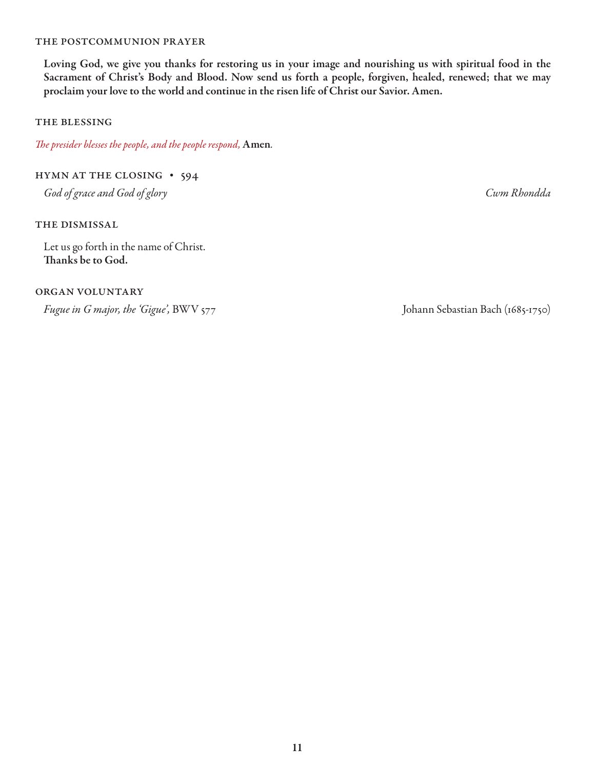#### the postcommunion prayer

Loving God, we give you thanks for restoring us in your image and nourishing us with spiritual food in the Sacrament of Christ's Body and Blood. Now send us forth a people, forgiven, healed, renewed; that we may proclaim your love to the world and continue in the risen life of Christ our Savior. Amen.

#### the blessing

*The presider blesses the people, and the people respond,* Amen*.*

hymn at the closing • 594

*God of grace and God of glory Cwm Rhondda*

# THE DISMISSAL

Let us go forth in the name of Christ. Thanks be to God.

organ voluntary

*Fugue in G major, the 'Gigue', BWV 577* Johann Sebastian Bach (1685-1750)